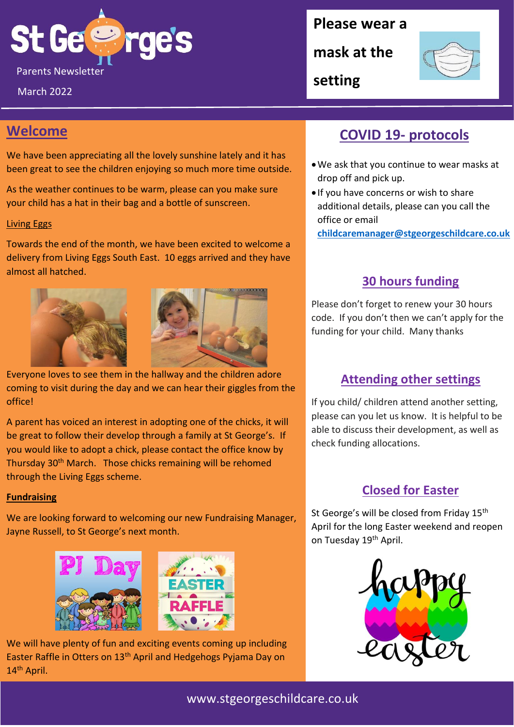

March 2022

## **Please wear a**

**mask at the** 



**setting**

# **Welcome**

We have been appreciating all the lovely sunshine lately and it has been great to see the children enjoying so much more time outside.

As the weather continues to be warm, please can you make sure your child has a hat in their bag and a bottle of sunscreen.

#### Living Eggs

Towards the end of the month, we have been excited to welcome a delivery from Living Eggs South East. 10 eggs arrived and they have almost all hatched.





Everyone loves to see them in the hallway and the children adore coming to visit during the day and we can hear their giggles from the office!

A parent has voiced an interest in adopting one of the chicks, it will be great to follow their develop through a family at St George's. If you would like to adopt a chick, please contact the office know by Thursday 30<sup>th</sup> March. Those chicks remaining will be rehomed through the Living Eggs scheme.

#### **Fundraising**

We are looking forward to welcoming our new Fundraising Manager, Jayne Russell, to St George's next month.



We will have plenty of fun and exciting events coming up including Easter Raffle in Otters on 13<sup>th</sup> April and Hedgehogs Pyjama Day on 14<sup>th</sup> April.

# **COVID 19- protocols**

- •We ask that you continue to wear masks at drop off and pick up.
- If you have concerns or wish to share additional details, please can you call the office or email

**[childcaremanager@stgeorgeschildcare.co.uk](mailto:childcaremanager@stgeorgeschildcare.co.uk)**

## **30 hours funding**

Please don't forget to renew your 30 hours code. If you don't then we can't apply for the funding for your child. Many thanks

## **Attending other settings**

If you child/ children attend another setting, please can you let us know. It is helpful to be able to discuss their development, as well as check funding allocations.

## **Closed for Easter**

St George's will be closed from Friday 15<sup>th</sup> April for the long Easter weekend and reopen on Tuesday 19th April.



### www.stgeorgeschildcare.co.uk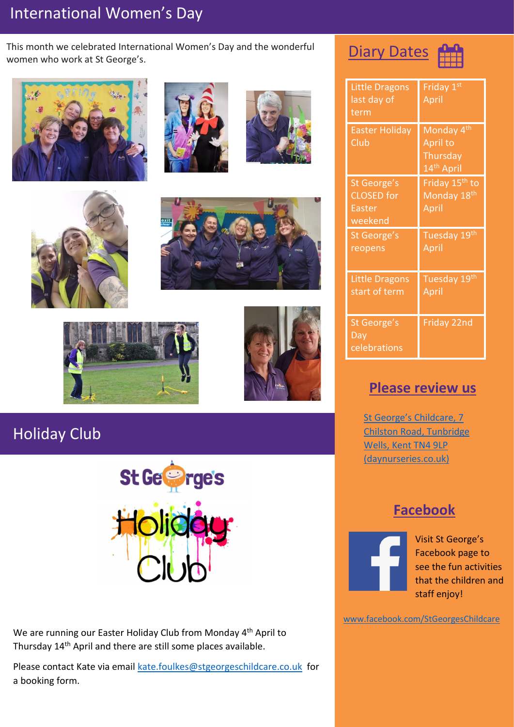# International Women's Day

This month we celebrated International Women's Day and the wonderful women who work at St George's.













# Holiday Club



We are running our Easter Holiday Club from Monday 4<sup>th</sup> April to Thursday 14th April and there are still some places available.

Please contact Kate via email [kate.foulkes@stgeorgeschildcare.co.uk](mailto:kate.foulkes@stgeorgeschildcare.co.uk) for a booking form.





| <b>Little Dragons</b><br>last day of<br>term                 | Friday 1st<br>April                                                      |
|--------------------------------------------------------------|--------------------------------------------------------------------------|
| <b>Easter Holiday</b><br>Club                                | Monday 4 <sup>th</sup><br>April to<br>Thursday<br>14 <sup>th</sup> April |
| St George's<br><b>CLOSED</b> for<br><b>Easter</b><br>weekend | Friday 15 <sup>th</sup> to<br>Monday 18 <sup>th</sup><br>April           |
| St George's<br>reopens                                       | Tuesday 19th<br>April                                                    |
| <b>Little Dragons</b><br>start of term                       | Tuesday 19th<br>April                                                    |
| <b>St George's</b><br>Day<br>celebrations                    | Friday 22nd                                                              |

## **Please review us**

[St George's Childcare, 7](https://www.daynurseries.co.uk/daynursery.cfm/searchazref/50001050GEOA/rcsid/1001#submit-review-tab)  [Chilston Road, Tunbridge](https://www.daynurseries.co.uk/daynursery.cfm/searchazref/50001050GEOA/rcsid/1001#submit-review-tab)  [Wells, Kent TN4 9LP](https://www.daynurseries.co.uk/daynursery.cfm/searchazref/50001050GEOA/rcsid/1001#submit-review-tab)  [\(daynurseries.co.uk\)](https://www.daynurseries.co.uk/daynursery.cfm/searchazref/50001050GEOA/rcsid/1001#submit-review-tab)

# **Facebook**



Visit St George's Facebook page to see the fun activities that the children and staff enjoy!

[www.facebook.com/StGeorgesChildcare](http://www.facebook.com/StGeorgesChildcare)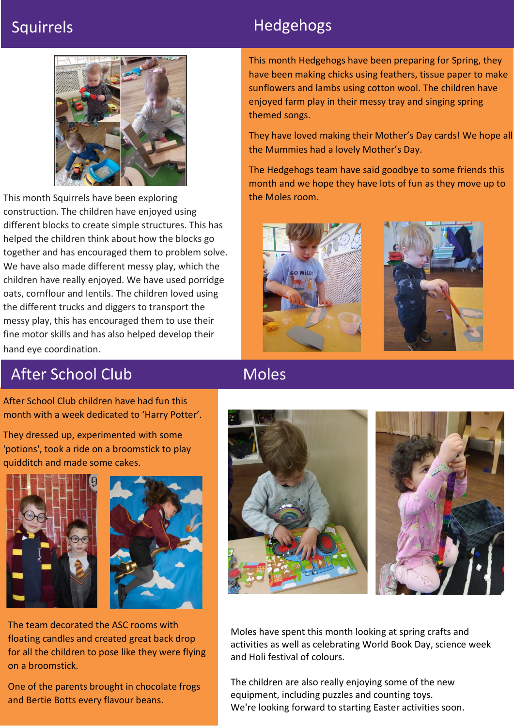

This month Squirrels have been exploring construction. The children have enjoyed using different blocks to create simple structures. This has helped the children think about how the blocks go together and has encouraged them to problem solve. We have also made different messy play, which the children have really enjoyed. We have used porridge oats, cornflour and lentils. The children loved using the different trucks and diggers to transport the messy play, this has encouraged them to use their fine motor skills and has also helped develop their hand eye coordination.

# Squirrels **Hedgehogs**

This month Hedgehogs have been preparing for Spring, they have been making chicks using feathers, tissue paper to make sunflowers and lambs using cotton wool. The children have enjoyed farm play in their messy tray and singing spring themed songs.

They have loved making their Mother's Day cards! We hope all the Mummies had a lovely Mother's Day.

The Hedgehogs team have said goodbye to some friends this month and we hope they have lots of fun as they move up to the Moles room.





# After School Club

Moles

After School Club children have had fun this month with a week dedicated to 'Harry Potter'.

They dressed up, experimented with some 'potions', took a ride on a broomstick to play quidditch and made some cakes.





The team decorated the ASC rooms with floating candles and created great back drop for all the children to pose like they were flying on a broomstick.

One of the parents brought in chocolate frogs and Bertie Botts every flavour beans.





Moles have spent this month looking at spring crafts and activities as well as celebrating World Book Day, science week and Holi festival of colours.

equipment, including puzzles and counting toys. The children are also really enjoying some of the new We're looking forward to starting Easter activities soon.